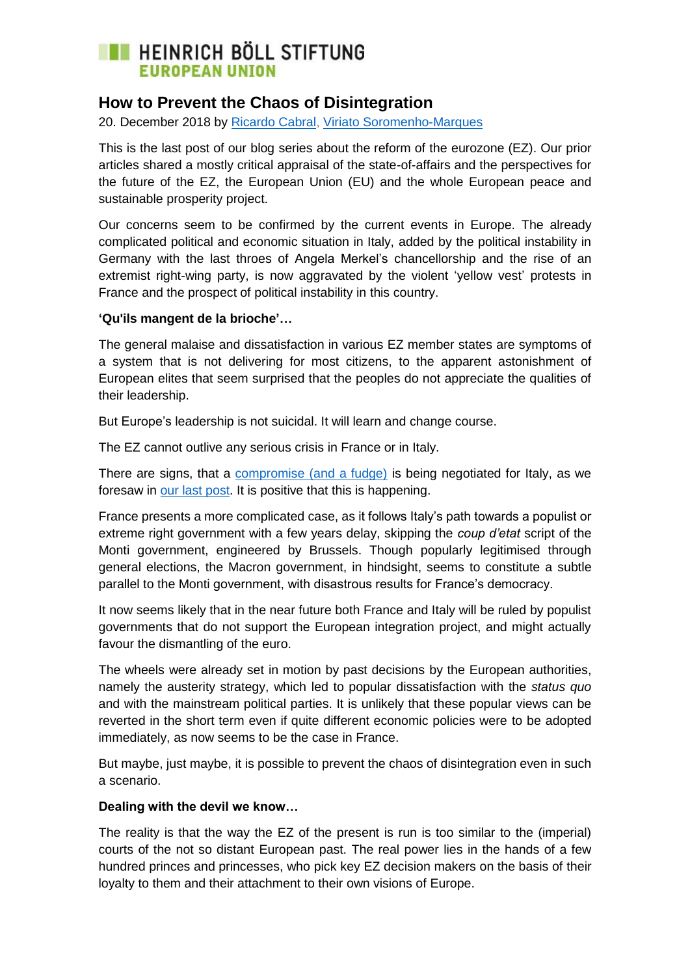### **EXECUTE HEINRICH BÖLL STIFTUNG EUROPEAN UNIO**

### **How to Prevent the Chaos of Disintegration**

20. December 2018 by [Ricardo Cabral,](https://eu.boell.org/en/person/ricardo-cabral) [Viriato Soromenho-Marques](https://eu.boell.org/en/person/viriato-soromenho-marques)

This is the last post of our blog series about the reform of the eurozone (EZ). Our prior articles shared a mostly critical appraisal of the state-of-affairs and the perspectives for the future of the EZ, the European Union (EU) and the whole European peace and sustainable prosperity project.

Our concerns seem to be confirmed by the current events in Europe. The already complicated political and economic situation in Italy, added by the political instability in Germany with the last throes of Angela Merkel's chancellorship and the rise of an extremist right-wing party, is now aggravated by the violent 'yellow vest' protests in France and the prospect of political instability in this country.

#### **['Qu'ils mangent de la brioche'](https://fr.wikipedia.org/wiki/Qu%27ils_mangent_de_la_brioche)…**

The general malaise and dissatisfaction in various EZ member states are symptoms of a system that is not delivering for most citizens, to the apparent astonishment of European elites that seem surprised that the peoples do not appreciate the qualities of their leadership.

But Europe's leadership is not suicidal. It will learn and change course.

The EZ cannot outlive any serious crisis in France or in Italy.

There are signs, that a [compromise \(and a fudge\)](https://www.bloomberg.com/europe) is being negotiated for Italy, as we foresaw in [our last](https://eu.boell.org/en/2018/11/06/poor-leadership-makes-somber-outlook) post. It is positive that this is happening.

France presents a more complicated case, as it follows Italy's path towards a populist or extreme right government with a few years delay, skipping the *coup d'etat* script of the Monti government, engineered by Brussels. Though popularly legitimised through general elections, the Macron government, in hindsight, seems to constitute a subtle parallel to the Monti government, with disastrous results for France's democracy.

It now seems likely that in the near future both France and Italy will be ruled by populist governments that do not support the European integration project, and might actually favour the dismantling of the euro.

The wheels were already set in motion by past decisions by the European authorities, namely the austerity strategy, which led to popular dissatisfaction with the *status quo* and with the mainstream political parties. It is unlikely that these popular views can be reverted in the short term even if quite different economic policies were to be adopted immediately, as now seems to be the case in France.

But maybe, just maybe, it is possible to prevent the chaos of disintegration even in such a scenario.

#### **Dealing with the devil we know…**

The reality is that the way the EZ of the present is run is too similar to the (imperial) courts of the not so distant European past. The real power lies in the hands of a few hundred princes and princesses, who pick key EZ decision makers on the basis of their loyalty to them and their attachment to their own visions of Europe.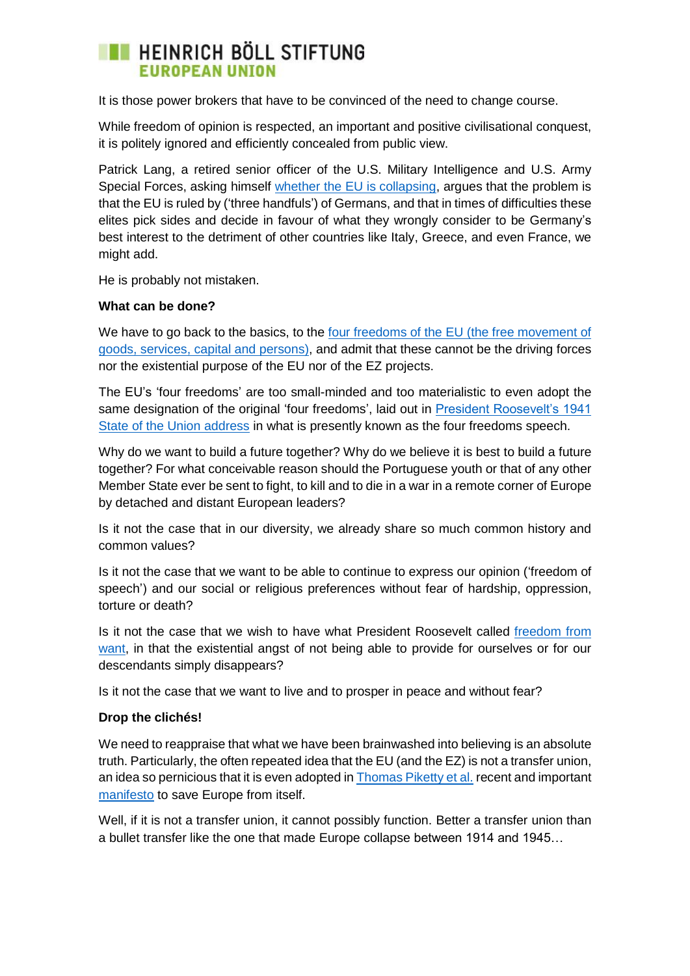### **EXECUTE HEINRICH BÖLL STIFTUNG EUROPEAN UNIO**

It is those power brokers that have to be convinced of the need to change course.

While freedom of opinion is respected, an important and positive civilisational conquest, it is politely ignored and efficiently concealed from public view.

Patrick Lang, a retired senior officer of the U.S. Military Intelligence and U.S. Army Special Forces, asking himself [whether the EU is collapsing,](https://turcopolier.typepad.com/sic_semper_tyrannis/2018/12/httpssouthfrontorgmacron-heralds-the-end-of-the-union.html) argues that the problem is that the EU is ruled by ('three handfuls') of Germans, and that in times of difficulties these elites pick sides and decide in favour of what they wrongly consider to be Germany's best interest to the detriment of other countries like Italy, Greece, and even France, we might add.

He is probably not mistaken.

#### **What can be done?**

We have to go back to the basics, to the [four freedoms of the EU](http://www.institutdelors.eu/wp-content/uploads/2018/01/171024jdigrundfreiheitenenwebeinzelseitena4.pdf) (the free movement of goods, services, capital and persons), and admit that these cannot be the driving forces nor the existential purpose of the EU nor of the EZ projects.

The EU's 'four freedoms' are too small-minded and too materialistic to even adopt the same designation of the original 'four freedoms', laid out in [President Roosevelt's 1941](https://en.wikipedia.org/wiki/Four_Freedoms)  [State of the Union address](https://en.wikipedia.org/wiki/Four_Freedoms) in what is presently known as the four freedoms speech.

Why do we want to build a future together? Why do we believe it is best to build a future together? For what conceivable reason should the Portuguese youth or that of any other Member State ever be sent to fight, to kill and to die in a war in a remote corner of Europe by detached and distant European leaders?

Is it not the case that in our diversity, we already share so much common history and common values?

Is it not the case that we want to be able to continue to express our opinion ('freedom of speech') and our social or religious preferences without fear of hardship, oppression, torture or death?

Is it not the case that we wish to have what President Roosevelt called [freedom from](https://en.wikipedia.org/wiki/Four_Freedoms)  [want,](https://en.wikipedia.org/wiki/Four_Freedoms) in that the existential angst of not being able to provide for ourselves or for our descendants simply disappears?

Is it not the case that we want to live and to prosper in peace and without fear?

#### **Drop the clichés!**

We need to reappraise that what we have been brainwashed into believing is an absolute truth. Particularly, the often repeated idea that the EU (and the EZ) is not a transfer union, an idea so pernicious that it is even adopted i[n Thomas Piketty](https://www.theguardian.com/commentisfree/2018/dec/09/manifesto-divided-europe-inequality-europeans) et al. recent and important [manifesto](https://www.theguardian.com/commentisfree/2018/dec/09/manifesto-divided-europe-inequality-europeans) to save Europe from itself.

Well, if it is not a transfer union, it cannot possibly function. Better a transfer union than a bullet transfer like the one that made Europe collapse between 1914 and 1945…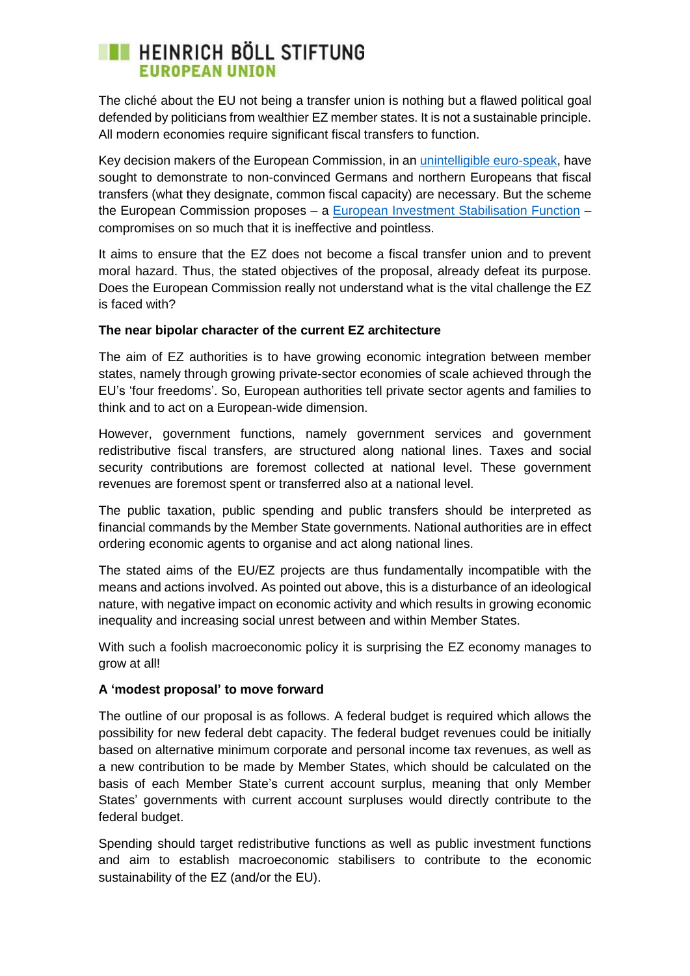# **EXECUTE HEINRICH BÖLL STIFTUNG EUROPEAN UNION**

The cliché about the EU not being a transfer union is nothing but a flawed political goal defended by politicians from wealthier EZ member states. It is not a sustainable principle. All modern economies require significant fiscal transfers to function.

Key decision makers of the European Commission, in an [unintelligible euro-speak,](https://voxeu.org/article/case-central-fiscal-capacity-emu) have sought to demonstrate to non-convinced Germans and northern Europeans that fiscal transfers (what they designate, common fiscal capacity) are necessary. But the scheme the European Commission proposes – a [European Investment Stabilisation Function](https://voxeu.org/article/case-central-fiscal-capacity-emu) – compromises on so much that it is ineffective and pointless.

It aims to ensure that the EZ does not become a fiscal transfer union and to prevent moral hazard. Thus, the stated objectives of the proposal, already defeat its purpose. Does the European Commission really not understand what is the vital challenge the EZ is faced with?

#### **The near bipolar character of the current EZ architecture**

The aim of EZ authorities is to have growing economic integration between member states, namely through growing private-sector economies of scale achieved through the EU's 'four freedoms'. So, European authorities tell private sector agents and families to think and to act on a European-wide dimension.

However, government functions, namely government services and government redistributive fiscal transfers, are structured along national lines. Taxes and social security contributions are foremost collected at national level. These government revenues are foremost spent or transferred also at a national level.

The public taxation, public spending and public transfers should be interpreted as financial commands by the Member State governments. National authorities are in effect ordering economic agents to organise and act along national lines.

The stated aims of the EU/EZ projects are thus fundamentally incompatible with the means and actions involved. As pointed out above, this is a disturbance of an ideological nature, with negative impact on economic activity and which results in growing economic inequality and increasing social unrest between and within Member States.

With such a foolish macroeconomic policy it is surprising the EZ economy manages to grow at all!

#### **A 'modest proposal' to move forward**

The outline of our proposal is as follows. A federal budget is required which allows the possibility for new federal debt capacity. The federal budget revenues could be initially based on alternative minimum corporate and personal income tax revenues, as well as a new contribution to be made by Member States, which should be calculated on the basis of each Member State's current account surplus, meaning that only Member States' governments with current account surpluses would directly contribute to the federal budget.

Spending should target redistributive functions as well as public investment functions and aim to establish macroeconomic stabilisers to contribute to the economic sustainability of the EZ (and/or the EU).